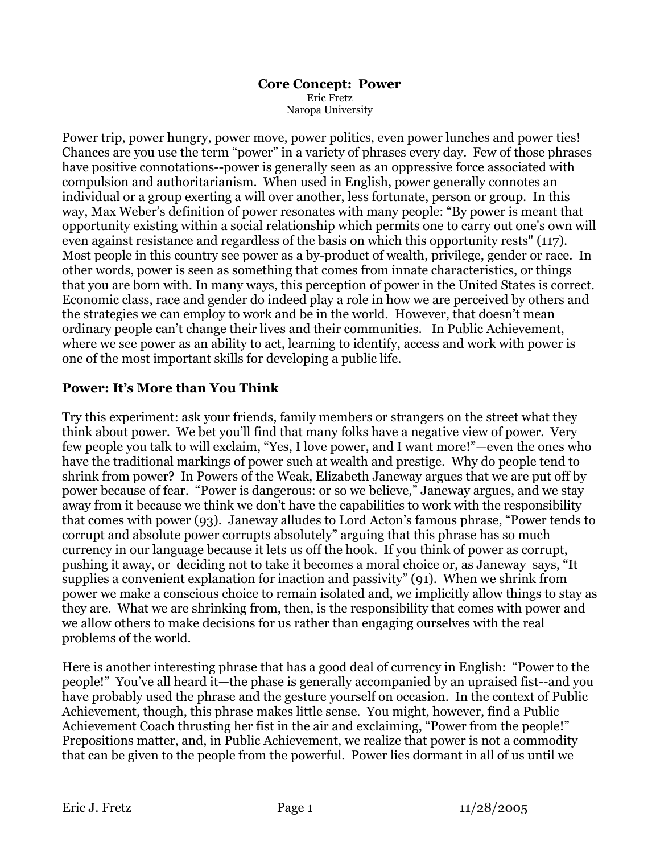### **Core Concept: Power** Eric Fretz Naropa University

Power trip, power hungry, power move, power politics, even power lunches and power ties! Chances are you use the term "power" in a variety of phrases every day. Few of those phrases have positive connotations--power is generally seen as an oppressive force associated with compulsion and authoritarianism. When used in English, power generally connotes an individual or a group exerting a will over another, less fortunate, person or group. In this way, Max Weber's definition of power resonates with many people: "By power is meant that opportunity existing within a social relationship which permits one to carry out one's own will even against resistance and regardless of the basis on which this opportunity rests" (117). Most people in this country see power as a by-product of wealth, privilege, gender or race. In other words, power is seen as something that comes from innate characteristics, or things that you are born with. In many ways, this perception of power in the United States is correct. Economic class, race and gender do indeed play a role in how we are perceived by others and the strategies we can employ to work and be in the world. However, that doesn't mean ordinary people can't change their lives and their communities. In Public Achievement, where we see power as an ability to act, learning to identify, access and work with power is one of the most important skills for developing a public life.

## **Power: It's More than You Think**

Try this experiment: ask your friends, family members or strangers on the street what they think about power. We bet you'll find that many folks have a negative view of power. Very few people you talk to will exclaim, "Yes, I love power, and I want more!"—even the ones who have the traditional markings of power such at wealth and prestige. Why do people tend to shrink from power? In Powers of the Weak, Elizabeth Janeway argues that we are put off by power because of fear. "Power is dangerous: or so we believe," Janeway argues, and we stay away from it because we think we don't have the capabilities to work with the responsibility that comes with power (93). Janeway alludes to Lord Acton's famous phrase, "Power tends to corrupt and absolute power corrupts absolutely" arguing that this phrase has so much currency in our language because it lets us off the hook. If you think of power as corrupt, pushing it away, or deciding not to take it becomes a moral choice or, as Janeway says, "It supplies a convenient explanation for inaction and passivity" (91). When we shrink from power we make a conscious choice to remain isolated and, we implicitly allow things to stay as they are. What we are shrinking from, then, is the responsibility that comes with power and we allow others to make decisions for us rather than engaging ourselves with the real problems of the world.

Here is another interesting phrase that has a good deal of currency in English: "Power to the people!" You've all heard it—the phase is generally accompanied by an upraised fist--and you have probably used the phrase and the gesture yourself on occasion. In the context of Public Achievement, though, this phrase makes little sense. You might, however, find a Public Achievement Coach thrusting her fist in the air and exclaiming, "Power from the people!" Prepositions matter, and, in Public Achievement, we realize that power is not a commodity that can be given to the people from the powerful. Power lies dormant in all of us until we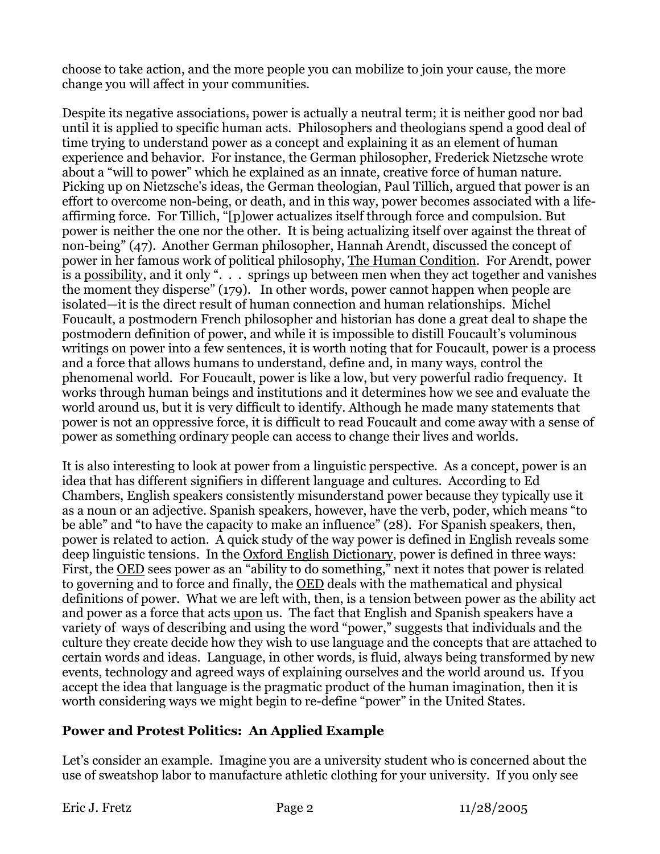choose to take action, and the more people you can mobilize to join your cause, the more change you will affect in your communities.

Despite its negative associations, power is actually a neutral term; it is neither good nor bad until it is applied to specific human acts. Philosophers and theologians spend a good deal of time trying to understand power as a concept and explaining it as an element of human experience and behavior. For instance, the German philosopher, Frederick Nietzsche wrote about a "will to power" which he explained as an innate, creative force of human nature. Picking up on Nietzsche's ideas, the German theologian, Paul Tillich, argued that power is an effort to overcome non-being, or death, and in this way, power becomes associated with a lifeaffirming force. For Tillich, "[p]ower actualizes itself through force and compulsion. But power is neither the one nor the other. It is being actualizing itself over against the threat of non-being" (47). Another German philosopher, Hannah Arendt, discussed the concept of power in her famous work of political philosophy, The Human Condition. For Arendt, power is a possibility, and it only ". . . springs up between men when they act together and vanishes the moment they disperse" (179). In other words, power cannot happen when people are isolated—it is the direct result of human connection and human relationships. Michel Foucault, a postmodern French philosopher and historian has done a great deal to shape the postmodern definition of power, and while it is impossible to distill Foucault's voluminous writings on power into a few sentences, it is worth noting that for Foucault, power is a process and a force that allows humans to understand, define and, in many ways, control the phenomenal world. For Foucault, power is like a low, but very powerful radio frequency. It works through human beings and institutions and it determines how we see and evaluate the world around us, but it is very difficult to identify. Although he made many statements that power is not an oppressive force, it is difficult to read Foucault and come away with a sense of power as something ordinary people can access to change their lives and worlds.

It is also interesting to look at power from a linguistic perspective. As a concept, power is an idea that has different signifiers in different language and cultures. According to Ed Chambers, English speakers consistently misunderstand power because they typically use it as a noun or an adjective. Spanish speakers, however, have the verb, poder, which means "to be able" and "to have the capacity to make an influence" (28). For Spanish speakers, then, power is related to action. A quick study of the way power is defined in English reveals some deep linguistic tensions. In the Oxford English Dictionary, power is defined in three ways: First, the OED sees power as an "ability to do something," next it notes that power is related to governing and to force and finally, the OED deals with the mathematical and physical definitions of power. What we are left with, then, is a tension between power as the ability act and power as a force that acts upon us. The fact that English and Spanish speakers have a variety of ways of describing and using the word "power," suggests that individuals and the culture they create decide how they wish to use language and the concepts that are attached to certain words and ideas. Language, in other words, is fluid, always being transformed by new events, technology and agreed ways of explaining ourselves and the world around us. If you accept the idea that language is the pragmatic product of the human imagination, then it is worth considering ways we might begin to re-define "power" in the United States.

## **Power and Protest Politics: An Applied Example**

Let's consider an example. Imagine you are a university student who is concerned about the use of sweatshop labor to manufacture athletic clothing for your university. If you only see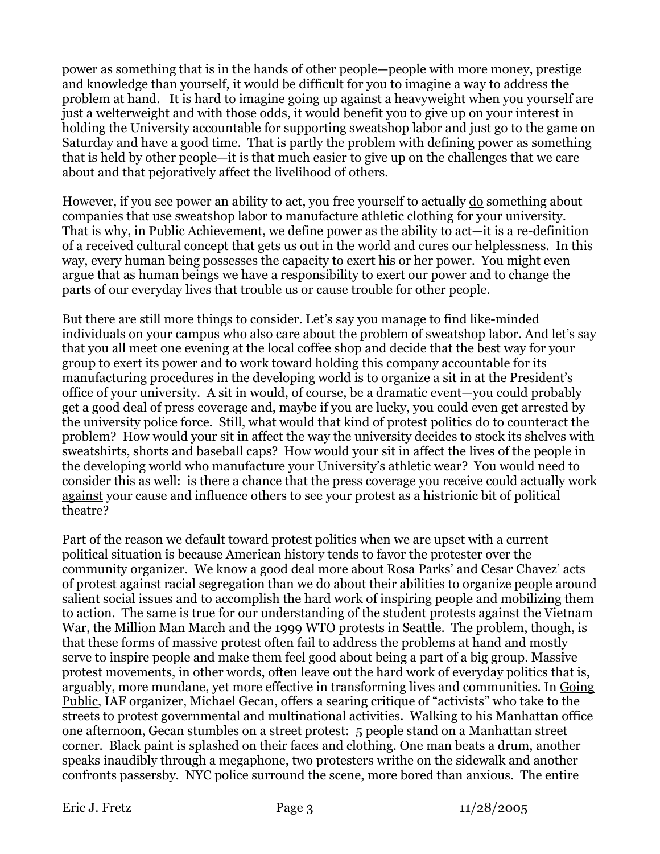power as something that is in the hands of other people—people with more money, prestige and knowledge than yourself, it would be difficult for you to imagine a way to address the problem at hand. It is hard to imagine going up against a heavyweight when you yourself are just a welterweight and with those odds, it would benefit you to give up on your interest in holding the University accountable for supporting sweatshop labor and just go to the game on Saturday and have a good time. That is partly the problem with defining power as something that is held by other people—it is that much easier to give up on the challenges that we care about and that pejoratively affect the livelihood of others.

However, if you see power an ability to act, you free yourself to actually do something about companies that use sweatshop labor to manufacture athletic clothing for your university. That is why, in Public Achievement, we define power as the ability to act—it is a re-definition of a received cultural concept that gets us out in the world and cures our helplessness. In this way, every human being possesses the capacity to exert his or her power. You might even argue that as human beings we have a responsibility to exert our power and to change the parts of our everyday lives that trouble us or cause trouble for other people.

But there are still more things to consider. Let's say you manage to find like-minded individuals on your campus who also care about the problem of sweatshop labor. And let's say that you all meet one evening at the local coffee shop and decide that the best way for your group to exert its power and to work toward holding this company accountable for its manufacturing procedures in the developing world is to organize a sit in at the President's office of your university. A sit in would, of course, be a dramatic event—you could probably get a good deal of press coverage and, maybe if you are lucky, you could even get arrested by the university police force. Still, what would that kind of protest politics do to counteract the problem? How would your sit in affect the way the university decides to stock its shelves with sweatshirts, shorts and baseball caps? How would your sit in affect the lives of the people in the developing world who manufacture your University's athletic wear? You would need to consider this as well: is there a chance that the press coverage you receive could actually work against your cause and influence others to see your protest as a histrionic bit of political theatre?

Part of the reason we default toward protest politics when we are upset with a current political situation is because American history tends to favor the protester over the community organizer. We know a good deal more about Rosa Parks' and Cesar Chavez' acts of protest against racial segregation than we do about their abilities to organize people around salient social issues and to accomplish the hard work of inspiring people and mobilizing them to action. The same is true for our understanding of the student protests against the Vietnam War, the Million Man March and the 1999 WTO protests in Seattle. The problem, though, is that these forms of massive protest often fail to address the problems at hand and mostly serve to inspire people and make them feel good about being a part of a big group. Massive protest movements, in other words, often leave out the hard work of everyday politics that is, arguably, more mundane, yet more effective in transforming lives and communities. In Going Public, IAF organizer, Michael Gecan, offers a searing critique of "activists" who take to the streets to protest governmental and multinational activities. Walking to his Manhattan office one afternoon, Gecan stumbles on a street protest: 5 people stand on a Manhattan street corner. Black paint is splashed on their faces and clothing. One man beats a drum, another speaks inaudibly through a megaphone, two protesters writhe on the sidewalk and another confronts passersby. NYC police surround the scene, more bored than anxious. The entire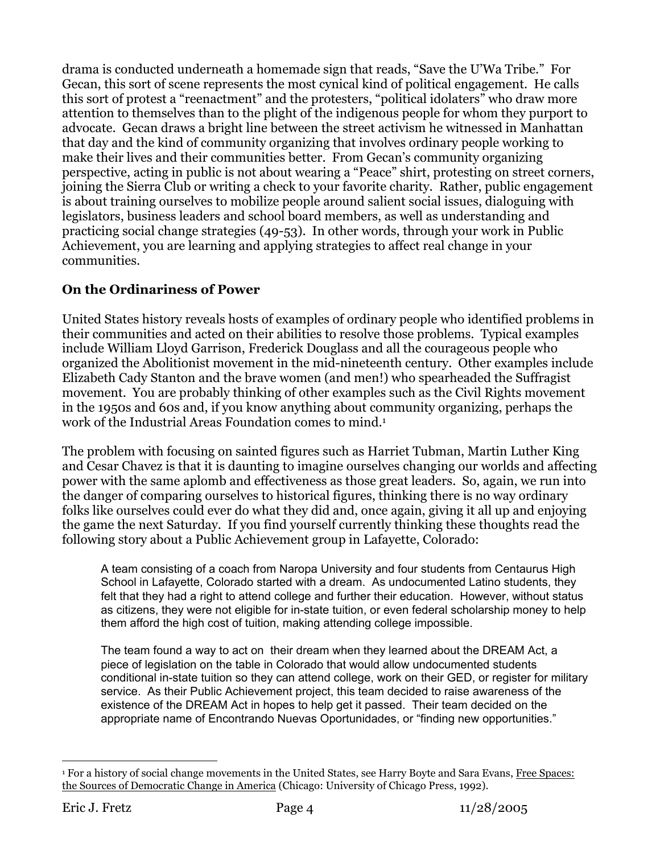drama is conducted underneath a homemade sign that reads, "Save the U'Wa Tribe." For Gecan, this sort of scene represents the most cynical kind of political engagement. He calls this sort of protest a "reenactment" and the protesters, "political idolaters" who draw more attention to themselves than to the plight of the indigenous people for whom they purport to advocate. Gecan draws a bright line between the street activism he witnessed in Manhattan that day and the kind of community organizing that involves ordinary people working to make their lives and their communities better. From Gecan's community organizing perspective, acting in public is not about wearing a "Peace" shirt, protesting on street corners, joining the Sierra Club or writing a check to your favorite charity. Rather, public engagement is about training ourselves to mobilize people around salient social issues, dialoguing with legislators, business leaders and school board members, as well as understanding and practicing social change strategies (49-53). In other words, through your work in Public Achievement, you are learning and applying strategies to affect real change in your communities.

# **On the Ordinariness of Power**

United States history reveals hosts of examples of ordinary people who identified problems in their communities and acted on their abilities to resolve those problems. Typical examples include William Lloyd Garrison, Frederick Douglass and all the courageous people who organized the Abolitionist movement in the mid-nineteenth century. Other examples include Elizabeth Cady Stanton and the brave women (and men!) who spearheaded the Suffragist movement. You are probably thinking of other examples such as the Civil Rights movement in the 1950s and 60s and, if you know anything about community organizing, perhaps the work of the Industrial Areas Foundation comes to mind.<sup>1</sup>

The problem with focusing on sainted figures such as Harriet Tubman, Martin Luther King and Cesar Chavez is that it is daunting to imagine ourselves changing our worlds and affecting power with the same aplomb and effectiveness as those great leaders. So, again, we run into the danger of comparing ourselves to historical figures, thinking there is no way ordinary folks like ourselves could ever do what they did and, once again, giving it all up and enjoying the game the next Saturday. If you find yourself currently thinking these thoughts read the following story about a Public Achievement group in Lafayette, Colorado:

A team consisting of a coach from Naropa University and four students from Centaurus High School in Lafayette, Colorado started with a dream. As undocumented Latino students, they felt that they had a right to attend college and further their education. However, without status as citizens, they were not eligible for in-state tuition, or even federal scholarship money to help them afford the high cost of tuition, making attending college impossible.

The team found a way to act on their dream when they learned about the DREAM Act, a piece of legislation on the table in Colorado that would allow undocumented students conditional in-state tuition so they can attend college, work on their GED, or register for military service. As their Public Achievement project, this team decided to raise awareness of the existence of the DREAM Act in hopes to help get it passed. Their team decided on the appropriate name of Encontrando Nuevas Oportunidades, or "finding new opportunities."

 <sup>1</sup> For a history of social change movements in the United States, see Harry Boyte and Sara Evans, Free Spaces: the Sources of Democratic Change in America (Chicago: University of Chicago Press, 1992).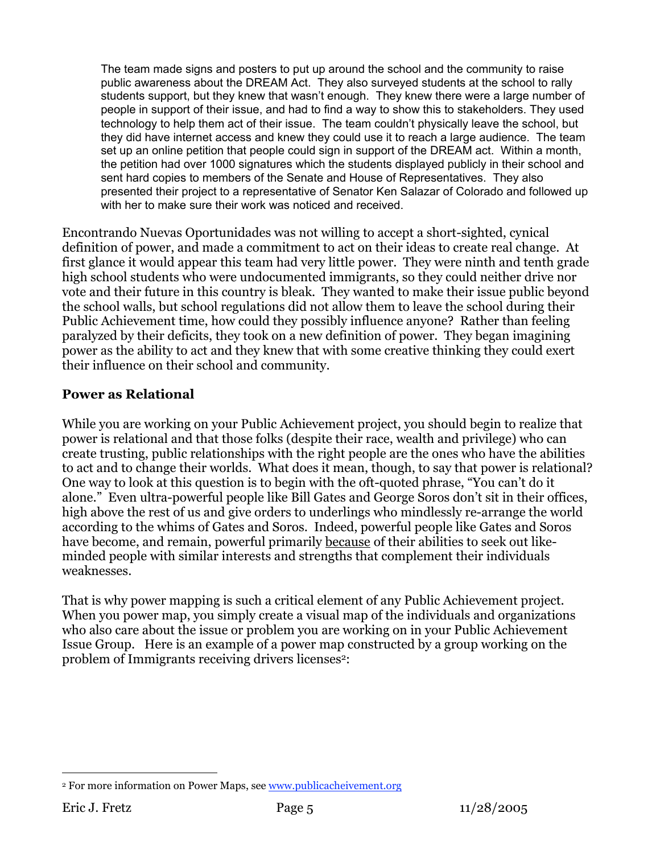The team made signs and posters to put up around the school and the community to raise public awareness about the DREAM Act. They also surveyed students at the school to rally students support, but they knew that wasn't enough. They knew there were a large number of people in support of their issue, and had to find a way to show this to stakeholders. They used technology to help them act of their issue. The team couldn't physically leave the school, but they did have internet access and knew they could use it to reach a large audience. The team set up an online petition that people could sign in support of the DREAM act. Within a month, the petition had over 1000 signatures which the students displayed publicly in their school and sent hard copies to members of the Senate and House of Representatives. They also presented their project to a representative of Senator Ken Salazar of Colorado and followed up with her to make sure their work was noticed and received.

Encontrando Nuevas Oportunidades was not willing to accept a short-sighted, cynical definition of power, and made a commitment to act on their ideas to create real change. At first glance it would appear this team had very little power. They were ninth and tenth grade high school students who were undocumented immigrants, so they could neither drive nor vote and their future in this country is bleak. They wanted to make their issue public beyond the school walls, but school regulations did not allow them to leave the school during their Public Achievement time, how could they possibly influence anyone? Rather than feeling paralyzed by their deficits, they took on a new definition of power. They began imagining power as the ability to act and they knew that with some creative thinking they could exert their influence on their school and community.

## **Power as Relational**

While you are working on your Public Achievement project, you should begin to realize that power is relational and that those folks (despite their race, wealth and privilege) who can create trusting, public relationships with the right people are the ones who have the abilities to act and to change their worlds. What does it mean, though, to say that power is relational? One way to look at this question is to begin with the oft-quoted phrase, "You can't do it alone." Even ultra-powerful people like Bill Gates and George Soros don't sit in their offices, high above the rest of us and give orders to underlings who mindlessly re-arrange the world according to the whims of Gates and Soros. Indeed, powerful people like Gates and Soros have become, and remain, powerful primarily because of their abilities to seek out likeminded people with similar interests and strengths that complement their individuals weaknesses.

That is why power mapping is such a critical element of any Public Achievement project. When you power map, you simply create a visual map of the individuals and organizations who also care about the issue or problem you are working on in your Public Achievement Issue Group. Here is an example of a power map constructed by a group working on the problem of Immigrants receiving drivers licenses<sup>2</sup>:

 <sup>2</sup> For more information on Power Maps, see www.publicacheivement.org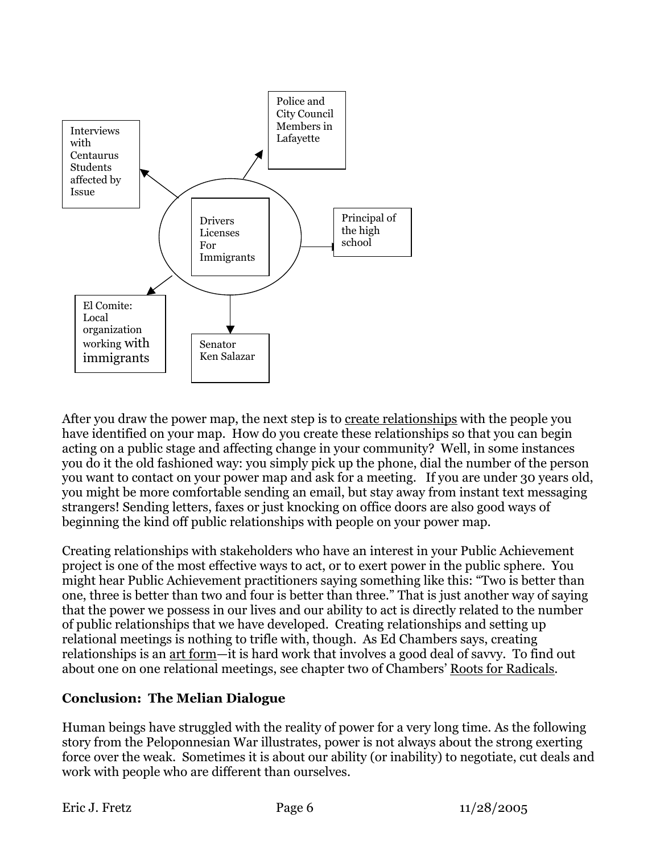

After you draw the power map, the next step is to create relationships with the people you have identified on your map. How do you create these relationships so that you can begin acting on a public stage and affecting change in your community? Well, in some instances you do it the old fashioned way: you simply pick up the phone, dial the number of the person you want to contact on your power map and ask for a meeting. If you are under 30 years old, you might be more comfortable sending an email, but stay away from instant text messaging strangers! Sending letters, faxes or just knocking on office doors are also good ways of beginning the kind off public relationships with people on your power map.

Creating relationships with stakeholders who have an interest in your Public Achievement project is one of the most effective ways to act, or to exert power in the public sphere. You might hear Public Achievement practitioners saying something like this: "Two is better than one, three is better than two and four is better than three." That is just another way of saying that the power we possess in our lives and our ability to act is directly related to the number of public relationships that we have developed. Creating relationships and setting up relational meetings is nothing to trifle with, though. As Ed Chambers says, creating relationships is an art form—it is hard work that involves a good deal of savvy. To find out about one on one relational meetings, see chapter two of Chambers' Roots for Radicals.

## **Conclusion: The Melian Dialogue**

Human beings have struggled with the reality of power for a very long time. As the following story from the Peloponnesian War illustrates, power is not always about the strong exerting force over the weak. Sometimes it is about our ability (or inability) to negotiate, cut deals and work with people who are different than ourselves.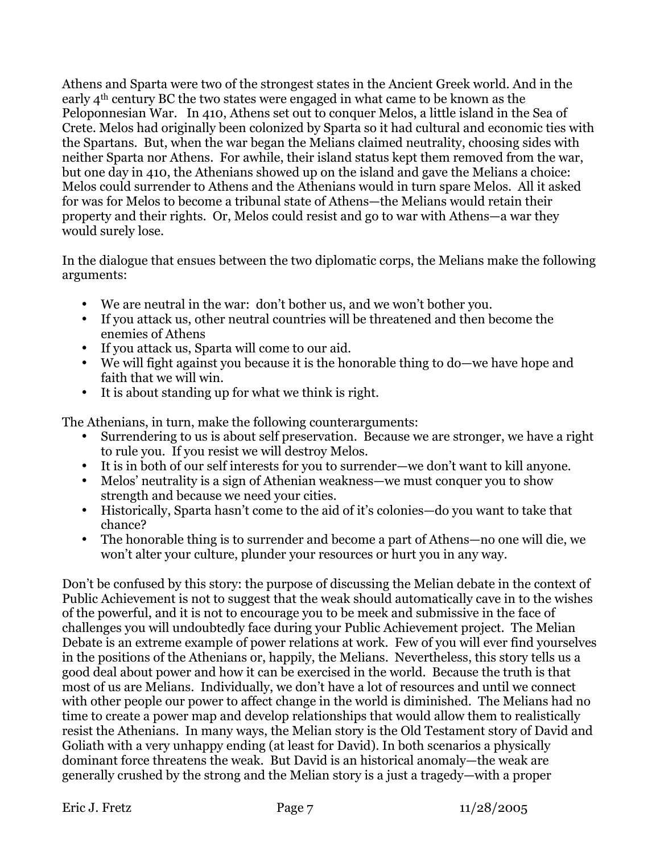Athens and Sparta were two of the strongest states in the Ancient Greek world. And in the early 4th century BC the two states were engaged in what came to be known as the Peloponnesian War. In 410, Athens set out to conquer Melos, a little island in the Sea of Crete. Melos had originally been colonized by Sparta so it had cultural and economic ties with the Spartans. But, when the war began the Melians claimed neutrality, choosing sides with neither Sparta nor Athens. For awhile, their island status kept them removed from the war, but one day in 410, the Athenians showed up on the island and gave the Melians a choice: Melos could surrender to Athens and the Athenians would in turn spare Melos. All it asked for was for Melos to become a tribunal state of Athens—the Melians would retain their property and their rights. Or, Melos could resist and go to war with Athens—a war they would surely lose.

In the dialogue that ensues between the two diplomatic corps, the Melians make the following arguments:

- We are neutral in the war: don't bother us, and we won't bother you.
- If you attack us, other neutral countries will be threatened and then become the enemies of Athens
- If you attack us, Sparta will come to our aid.
- We will fight against you because it is the honorable thing to do—we have hope and faith that we will win.
- It is about standing up for what we think is right.

The Athenians, in turn, make the following counterarguments:

- Surrendering to us is about self preservation. Because we are stronger, we have a right to rule you. If you resist we will destroy Melos.
- It is in both of our self interests for you to surrender—we don't want to kill anyone.
- Melos' neutrality is a sign of Athenian weakness—we must conquer you to show strength and because we need your cities.
- Historically, Sparta hasn't come to the aid of it's colonies—do you want to take that chance?
- The honorable thing is to surrender and become a part of Athens—no one will die, we won't alter your culture, plunder your resources or hurt you in any way.

Don't be confused by this story: the purpose of discussing the Melian debate in the context of Public Achievement is not to suggest that the weak should automatically cave in to the wishes of the powerful, and it is not to encourage you to be meek and submissive in the face of challenges you will undoubtedly face during your Public Achievement project. The Melian Debate is an extreme example of power relations at work. Few of you will ever find yourselves in the positions of the Athenians or, happily, the Melians. Nevertheless, this story tells us a good deal about power and how it can be exercised in the world. Because the truth is that most of us are Melians. Individually, we don't have a lot of resources and until we connect with other people our power to affect change in the world is diminished. The Melians had no time to create a power map and develop relationships that would allow them to realistically resist the Athenians. In many ways, the Melian story is the Old Testament story of David and Goliath with a very unhappy ending (at least for David). In both scenarios a physically dominant force threatens the weak. But David is an historical anomaly—the weak are generally crushed by the strong and the Melian story is a just a tragedy—with a proper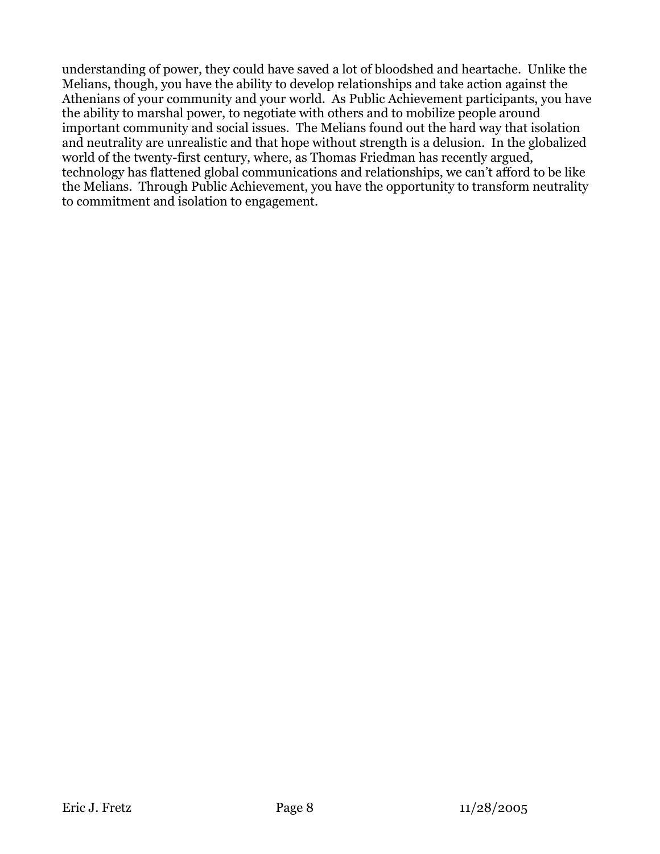understanding of power, they could have saved a lot of bloodshed and heartache. Unlike the Melians, though, you have the ability to develop relationships and take action against the Athenians of your community and your world. As Public Achievement participants, you have the ability to marshal power, to negotiate with others and to mobilize people around important community and social issues. The Melians found out the hard way that isolation and neutrality are unrealistic and that hope without strength is a delusion. In the globalized world of the twenty-first century, where, as Thomas Friedman has recently argued, technology has flattened global communications and relationships, we can't afford to be like the Melians. Through Public Achievement, you have the opportunity to transform neutrality to commitment and isolation to engagement.